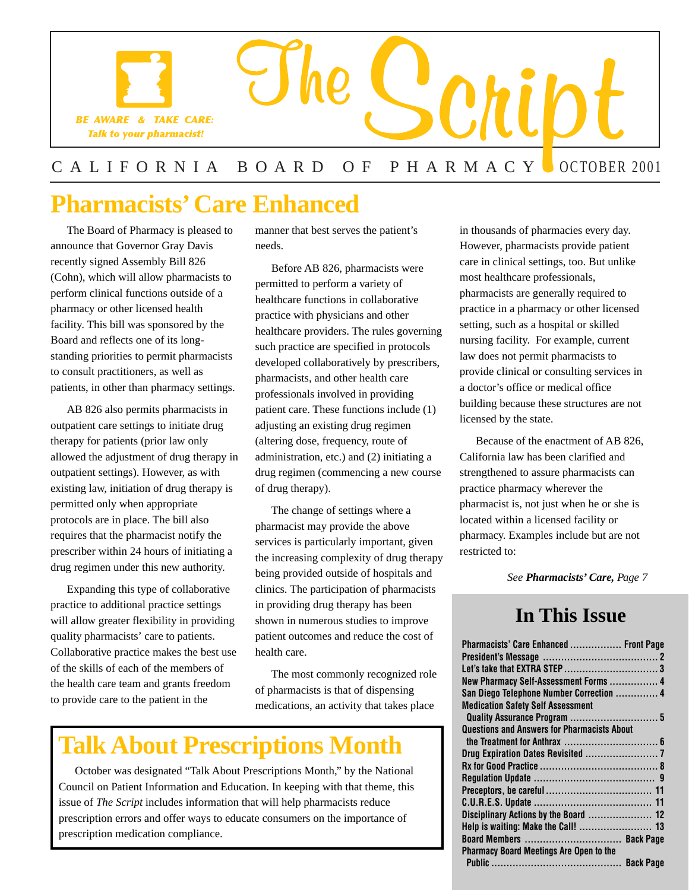

### CALIFORNIA BOARD OF PHARMACY OCTOBER 2001

## **Pharmacists' Care Enhanced**

The Board of Pharmacy is pleased to announce that Governor Gray Davis recently signed Assembly Bill 826 (Cohn), which will allow pharmacists to perform clinical functions outside of a pharmacy or other licensed health facility. This bill was sponsored by the Board and reflects one of its longstanding priorities to permit pharmacists to consult practitioners, as well as patients, in other than pharmacy settings.

AB 826 also permits pharmacists in outpatient care settings to initiate drug therapy for patients (prior law only allowed the adjustment of drug therapy in outpatient settings). However, as with existing law, initiation of drug therapy is permitted only when appropriate protocols are in place. The bill also requires that the pharmacist notify the prescriber within 24 hours of initiating a drug regimen under this new authority.

Expanding this type of collaborative practice to additional practice settings will allow greater flexibility in providing quality pharmacists' care to patients. Collaborative practice makes the best use of the skills of each of the members of the health care team and grants freedom to provide care to the patient in the

manner that best serves the patient's needs.

Before AB 826, pharmacists were permitted to perform a variety of healthcare functions in collaborative practice with physicians and other healthcare providers. The rules governing such practice are specified in protocols developed collaboratively by prescribers, pharmacists, and other health care professionals involved in providing patient care. These functions include (1) adjusting an existing drug regimen (altering dose, frequency, route of administration, etc.) and (2) initiating a drug regimen (commencing a new course of drug therapy).

The change of settings where a pharmacist may provide the above services is particularly important, given the increasing complexity of drug therapy being provided outside of hospitals and clinics. The participation of pharmacists in providing drug therapy has been shown in numerous studies to improve patient outcomes and reduce the cost of health care.

The most commonly recognized role of pharmacists is that of dispensing medications, an activity that takes place

## **Talk About Prescriptions Month**

October was designated "Talk About Prescriptions Month," by the National Council on Patient Information and Education. In keeping with that theme, this issue of *The Script* includes information that will help pharmacists reduce prescription errors and offer ways to educate consumers on the importance of prescription medication compliance.

in thousands of pharmacies every day. However, pharmacists provide patient care in clinical settings, too. But unlike most healthcare professionals, pharmacists are generally required to practice in a pharmacy or other licensed setting, such as a hospital or skilled nursing facility. For example, current law does not permit pharmacists to provide clinical or consulting services in a doctor's office or medical office building because these structures are not licensed by the state.

Because of the enactment of AB 826, California law has been clarified and strengthened to assure pharmacists can practice pharmacy wherever the pharmacist is, not just when he or she is located within a licensed facility or pharmacy. Examples include but are not restricted to:

*See Pharmacists' Care, Page 7* 

## **In This Issue**

| Pharmacists' Care Enhanced  Front Page             |  |
|----------------------------------------------------|--|
|                                                    |  |
|                                                    |  |
| New Pharmacy Self-Assessment Forms  4              |  |
| San Diego Telephone Number Correction  4           |  |
| <b>Medication Safety Self Assessment</b>           |  |
|                                                    |  |
| <b>Questions and Answers for Pharmacists About</b> |  |
|                                                    |  |
|                                                    |  |
|                                                    |  |
|                                                    |  |
|                                                    |  |
|                                                    |  |
| Disciplinary Actions by the Board  12              |  |
| Help is waiting: Make the Call!  13                |  |
| Board Members  Back Page                           |  |
| <b>Pharmacy Board Meetings Are Open to the</b>     |  |
|                                                    |  |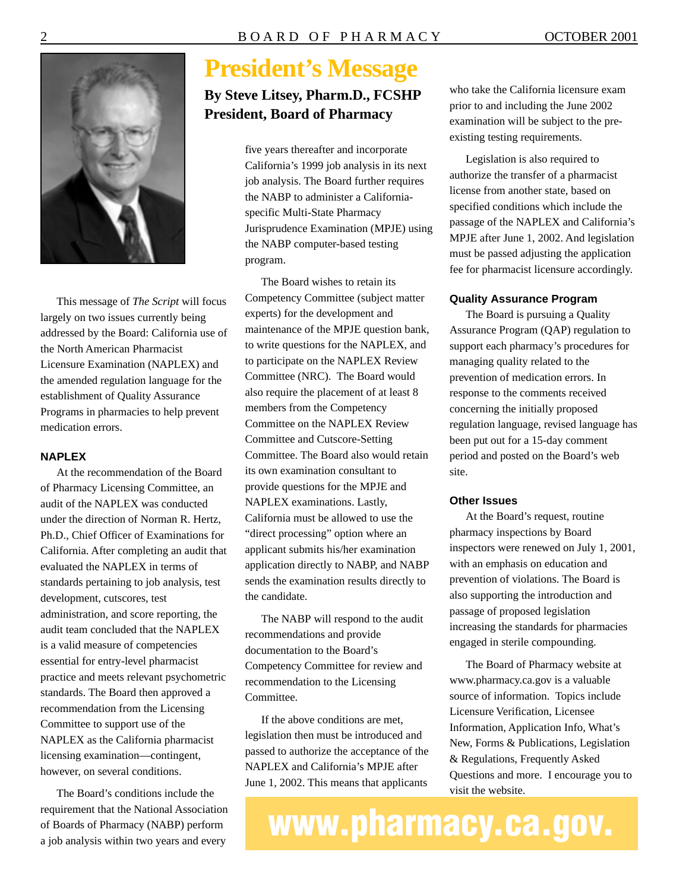

This message of *The Script* will focus largely on two issues currently being addressed by the Board: California use of the North American Pharmacist Licensure Examination (NAPLEX) and the amended regulation language for the establishment of Quality Assurance Programs in pharmacies to help prevent medication errors.

#### **NAPLEX**

At the recommendation of the Board of Pharmacy Licensing Committee, an audit of the NAPLEX was conducted under the direction of Norman R. Hertz, Ph.D., Chief Officer of Examinations for California. After completing an audit that evaluated the NAPLEX in terms of standards pertaining to job analysis, test development, cutscores, test administration, and score reporting, the audit team concluded that the NAPLEX is a valid measure of competencies essential for entry-level pharmacist practice and meets relevant psychometric standards. The Board then approved a recommendation from the Licensing Committee to support use of the NAPLEX as the California pharmacist licensing examination—contingent, however, on several conditions.

The Board's conditions include the requirement that the National Association of Boards of Pharmacy (NABP) perform a job analysis within two years and every

## **President's Message**

### **By Steve Litsey, Pharm.D., FCSHP President, Board of Pharmacy**

five years thereafter and incorporate California's 1999 job analysis in its next job analysis. The Board further requires the NABP to administer a Californiaspecific Multi-State Pharmacy Jurisprudence Examination (MPJE) using the NABP computer-based testing program.

The Board wishes to retain its Competency Committee (subject matter experts) for the development and maintenance of the MPJE question bank, to write questions for the NAPLEX, and to participate on the NAPLEX Review Committee (NRC). The Board would also require the placement of at least 8 members from the Competency Committee on the NAPLEX Review Committee and Cutscore-Setting Committee. The Board also would retain its own examination consultant to provide questions for the MPJE and NAPLEX examinations. Lastly, California must be allowed to use the "direct processing" option where an applicant submits his/her examination application directly to NABP, and NABP sends the examination results directly to the candidate.

The NABP will respond to the audit recommendations and provide documentation to the Board's Competency Committee for review and recommendation to the Licensing Committee.

If the above conditions are met, legislation then must be introduced and passed to authorize the acceptance of the NAPLEX and California's MPJE after June 1, 2002. This means that applicants

who take the California licensure exam prior to and including the June 2002 examination will be subject to the preexisting testing requirements.

Legislation is also required to authorize the transfer of a pharmacist license from another state, based on specified conditions which include the passage of the NAPLEX and California's MPJE after June 1, 2002. And legislation must be passed adjusting the application fee for pharmacist licensure accordingly.

#### **Quality Assurance Program**

The Board is pursuing a Quality Assurance Program (QAP) regulation to support each pharmacy's procedures for managing quality related to the prevention of medication errors. In response to the comments received concerning the initially proposed regulation language, revised language has been put out for a 15-day comment period and posted on the Board's web site.

#### **Other Issues**

At the Board's request, routine pharmacy inspections by Board inspectors were renewed on July 1, 2001, with an emphasis on education and prevention of violations. The Board is also supporting the introduction and passage of proposed legislation increasing the standards for pharmacies engaged in sterile compounding.

The Board of Pharmacy website at <www.pharmacy.ca.gov> is a valuable source of information. Topics include Licensure Verification, Licensee Information, Application Info, What's New, Forms & Publications, Legislation & Regulations, Frequently Asked Questions and more. I encourage you to visit the website.

**www.pharmacy.ca.gov.**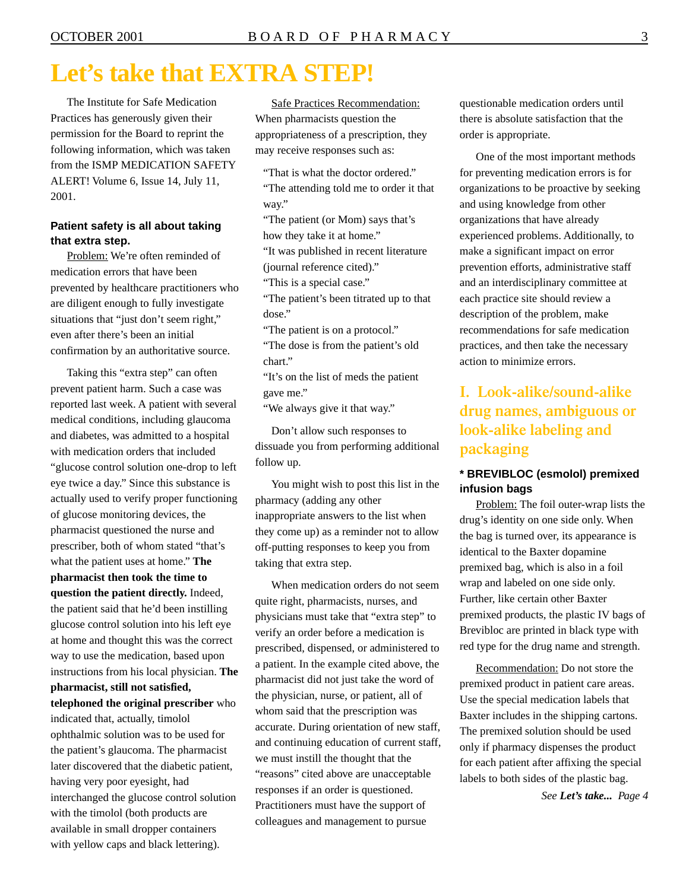## **Let's take that EXTRA STEP!**

The Institute for Safe Medication Practices has generously given their permission for the Board to reprint the following information, which was taken from the ISMP MEDICATION SAFETY ALERT! Volume 6, Issue 14, July 11, 2001.

#### **Patient safety is all about taking that extra step.**

Problem: We're often reminded of medication errors that have been prevented by healthcare practitioners who are diligent enough to fully investigate situations that "just don't seem right," even after there's been an initial confirmation by an authoritative source.

Taking this "extra step" can often prevent patient harm. Such a case was reported last week. A patient with several medical conditions, including glaucoma and diabetes, was admitted to a hospital with medication orders that included "glucose control solution one-drop to left eye twice a day." Since this substance is actually used to verify proper functioning of glucose monitoring devices, the pharmacist questioned the nurse and prescriber, both of whom stated "that's what the patient uses at home." **The pharmacist then took the time to question the patient directly.** Indeed, the patient said that he'd been instilling glucose control solution into his left eye at home and thought this was the correct way to use the medication, based upon instructions from his local physician. **The pharmacist, still not satisfied, telephoned the original prescriber** who indicated that, actually, timolol ophthalmic solution was to be used for the patient's glaucoma. The pharmacist later discovered that the diabetic patient, having very poor eyesight, had interchanged the glucose control solution with the timolol (both products are available in small dropper containers with yellow caps and black lettering).

Safe Practices Recommendation: When pharmacists question the appropriateness of a prescription, they may receive responses such as:

"That is what the doctor ordered." "The attending told me to order it that way."

"The patient (or Mom) says that's how they take it at home."

"It was published in recent literature (journal reference cited)."

"This is a special case."

"The patient's been titrated up to that dose."

"The patient is on a protocol."

"The dose is from the patient's old chart."

"It's on the list of meds the patient gave me."

"We always give it that way."

Don't allow such responses to dissuade you from performing additional follow up.

You might wish to post this list in the pharmacy (adding any other inappropriate answers to the list when they come up) as a reminder not to allow off-putting responses to keep you from taking that extra step.

When medication orders do not seem quite right, pharmacists, nurses, and physicians must take that "extra step" to verify an order before a medication is prescribed, dispensed, or administered to a patient. In the example cited above, the pharmacist did not just take the word of the physician, nurse, or patient, all of whom said that the prescription was accurate. During orientation of new staff, and continuing education of current staff, we must instill the thought that the "reasons" cited above are unacceptable responses if an order is questioned. Practitioners must have the support of colleagues and management to pursue

questionable medication orders until there is absolute satisfaction that the order is appropriate.

One of the most important methods for preventing medication errors is for organizations to be proactive by seeking and using knowledge from other organizations that have already experienced problems. Additionally, to make a significant impact on error prevention efforts, administrative staff and an interdisciplinary committee at each practice site should review a description of the problem, make recommendations for safe medication practices, and then take the necessary action to minimize errors.

### **I. Look-alike/sound-alike drug names, ambiguous or look-alike labeling and packaging**

#### **\* BREVIBLOC (esmolol) premixed infusion bags**

Problem: The foil outer-wrap lists the drug's identity on one side only. When the bag is turned over, its appearance is identical to the Baxter dopamine premixed bag, which is also in a foil wrap and labeled on one side only. Further, like certain other Baxter premixed products, the plastic IV bags of Brevibloc are printed in black type with red type for the drug name and strength.

Recommendation: Do not store the premixed product in patient care areas. Use the special medication labels that Baxter includes in the shipping cartons. The premixed solution should be used only if pharmacy dispenses the product for each patient after affixing the special labels to both sides of the plastic bag.

*See Let's take... Page 4*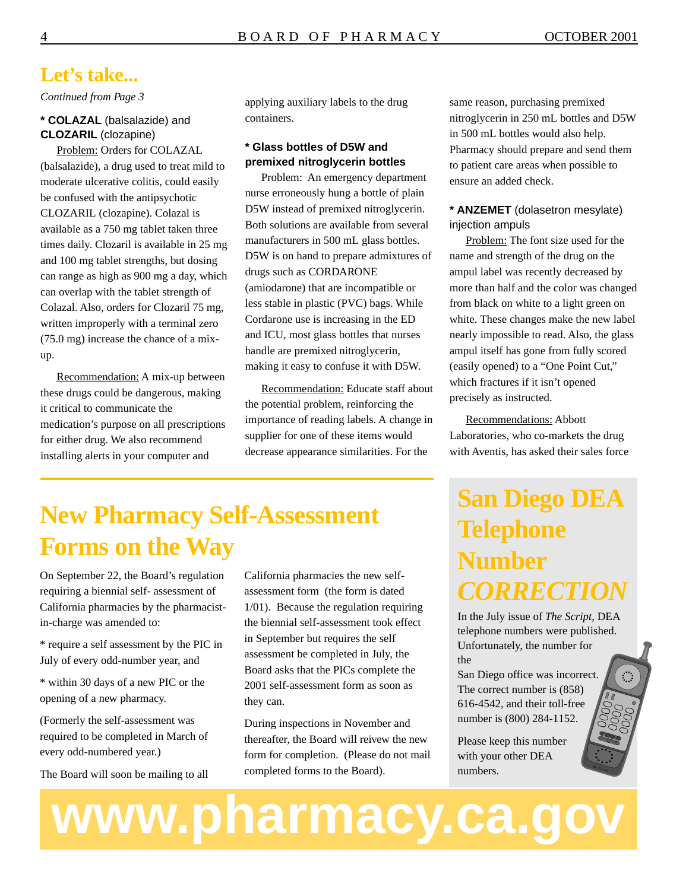### **Let's take...**

*Continued from Page 3* 

#### **\* COLAZAL** (balsalazide) and **CLOZARIL** (clozapine)

Problem: Orders for COLAZAL (balsalazide), a drug used to treat mild to moderate ulcerative colitis, could easily be confused with the antipsychotic CLOZARIL (clozapine). Colazal is available as a 750 mg tablet taken three times daily. Clozaril is available in 25 mg and 100 mg tablet strengths, but dosing can range as high as 900 mg a day, which can overlap with the tablet strength of Colazal. Also, orders for Clozaril 75 mg, written improperly with a terminal zero (75.0 mg) increase the chance of a mixup.

Recommendation: A mix-up between these drugs could be dangerous, making it critical to communicate the medication's purpose on all prescriptions for either drug. We also recommend installing alerts in your computer and

applying auxiliary labels to the drug containers.

#### **\* Glass bottles of D5W and premixed nitroglycerin bottles**

Problem: An emergency department nurse erroneously hung a bottle of plain D5W instead of premixed nitroglycerin. Both solutions are available from several manufacturers in 500 mL glass bottles. D5W is on hand to prepare admixtures of drugs such as CORDARONE (amiodarone) that are incompatible or less stable in plastic (PVC) bags. While Cordarone use is increasing in the ED and ICU, most glass bottles that nurses handle are premixed nitroglycerin, making it easy to confuse it with D5W.

Recommendation: Educate staff about the potential problem, reinforcing the importance of reading labels. A change in supplier for one of these items would decrease appearance similarities. For the

same reason, purchasing premixed nitroglycerin in 250 mL bottles and D5W in 500 mL bottles would also help. Pharmacy should prepare and send them to patient care areas when possible to ensure an added check.

#### **\* ANZEMET** (dolasetron mesylate) injection ampuls

Problem: The font size used for the name and strength of the drug on the ampul label was recently decreased by more than half and the color was changed from black on white to a light green on white. These changes make the new label nearly impossible to read. Also, the glass ampul itself has gone from fully scored (easily opened) to a "One Point Cut," which fractures if it isn't opened precisely as instructed.

Recommendations: Abbott Laboratories, who co-markets the drug with Aventis, has asked their sales force

## **New Pharmacy Self-Assessment Forms on the Way**

On September 22, the Board's regulation requiring a biennial self- assessment of California pharmacies by the pharmacistin-charge was amended to:

\* require a self assessment by the PIC in July of every odd-number year, and

\* within 30 days of a new PIC or the opening of a new pharmacy.

(Formerly the self-assessment was required to be completed in March of every odd-numbered year.)

The Board will soon be mailing to all

California pharmacies the new selfassessment form (the form is dated 1/01). Because the regulation requiring the biennial self-assessment took effect in September but requires the self assessment be completed in July, the Board asks that the PICs complete the 2001 self-assessment form as soon as they can.

During inspections in November and thereafter, the Board will reivew the new form for completion. (Please do not mail completed forms to the Board).

**www.pharmacy.ca.gov** 

## **San Diego DEA Telephone Number**  *CORRECTION*

In the July issue of *The Script,* DEA telephone numbers were published. Unfortunately, the number for the

 $\mathcal{L}$ 

San Diego office was incorrect. The correct number is (858) 616-4542, and their toll-free number is (800) 284-1152.

Please keep this number with your other DEA numbers.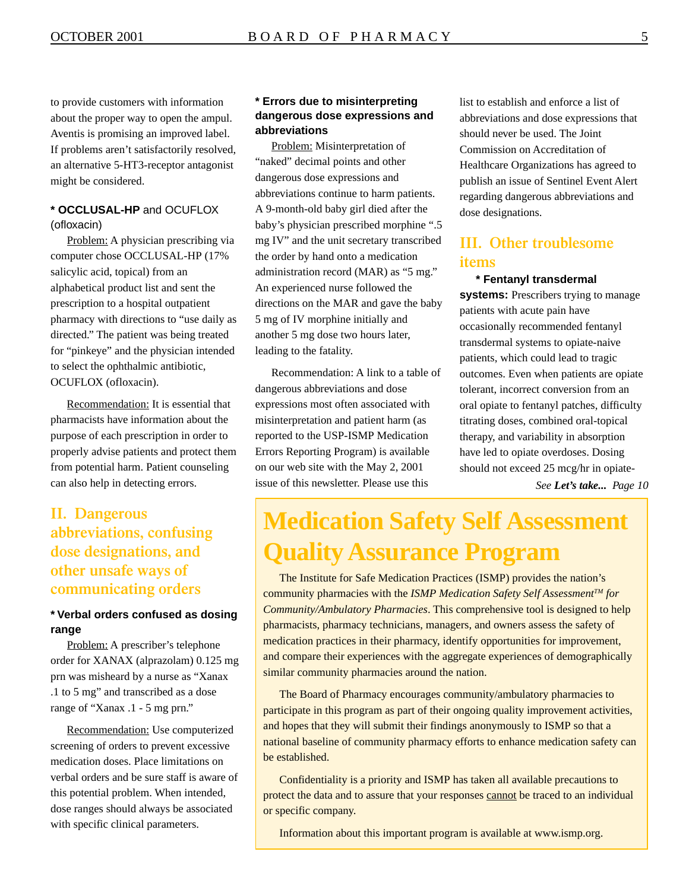to provide customers with information about the proper way to open the ampul. Aventis is promising an improved label. If problems aren't satisfactorily resolved, an alternative 5-HT3-receptor antagonist might be considered.

#### **\* OCCLUSAL-HP** and OCUFLOX (ofloxacin)

Problem: A physician prescribing via computer chose OCCLUSAL-HP (17% salicylic acid, topical) from an alphabetical product list and sent the prescription to a hospital outpatient pharmacy with directions to "use daily as directed." The patient was being treated for "pinkeye" and the physician intended to select the ophthalmic antibiotic, OCUFLOX (ofloxacin).

Recommendation: It is essential that pharmacists have information about the purpose of each prescription in order to properly advise patients and protect them from potential harm. Patient counseling can also help in detecting errors.

### **II. Dangerous abbreviations, confusing dose designations, and other unsafe ways of communicating orders**

#### **\* Verbal orders confused as dosing range**

Problem: A prescriber's telephone order for XANAX (alprazolam) 0.125 mg prn was misheard by a nurse as "Xanax .1 to 5 mg" and transcribed as a dose range of "Xanax .1 - 5 mg prn."

Recommendation: Use computerized screening of orders to prevent excessive medication doses. Place limitations on verbal orders and be sure staff is aware of this potential problem. When intended, dose ranges should always be associated with specific clinical parameters.

#### **\* Errors due to misinterpreting dangerous dose expressions and abbreviations**

Problem: Misinterpretation of "naked" decimal points and other dangerous dose expressions and abbreviations continue to harm patients. A 9-month-old baby girl died after the baby's physician prescribed morphine ".5 mg IV" and the unit secretary transcribed the order by hand onto a medication administration record (MAR) as "5 mg." An experienced nurse followed the directions on the MAR and gave the baby 5 mg of IV morphine initially and another 5 mg dose two hours later, leading to the fatality.

Recommendation: A link to a table of dangerous abbreviations and dose expressions most often associated with misinterpretation and patient harm (as reported to the USP-ISMP Medication Errors Reporting Program) is available on our web site with the May 2, 2001 issue of this newsletter. Please use this

list to establish and enforce a list of abbreviations and dose expressions that should never be used. The Joint Commission on Accreditation of Healthcare Organizations has agreed to publish an issue of Sentinel Event Alert regarding dangerous abbreviations and dose designations.

#### **III. Other troublesome items**

#### **\* Fentanyl transdermal**

**systems:** Prescribers trying to manage patients with acute pain have occasionally recommended fentanyl transdermal systems to opiate-naive patients, which could lead to tragic outcomes. Even when patients are opiate tolerant, incorrect conversion from an oral opiate to fentanyl patches, difficulty titrating doses, combined oral-topical therapy, and variability in absorption have led to opiate overdoses. Dosing should not exceed 25 mcg/hr in opiate-

*See Let's take... Page 10* 

## **Medication Safety Self Assessment Quality Assurance Program**

The Institute for Safe Medication Practices (ISMP) provides the nation's community pharmacies with the *ISMP Medication Safety Self AssessmentTM for Community/Ambulatory Pharmacies*. This comprehensive tool is designed to help pharmacists, pharmacy technicians, managers, and owners assess the safety of medication practices in their pharmacy, identify opportunities for improvement, and compare their experiences with the aggregate experiences of demographically similar community pharmacies around the nation.

The Board of Pharmacy encourages community/ambulatory pharmacies to participate in this program as part of their ongoing quality improvement activities, and hopes that they will submit their findings anonymously to ISMP so that a national baseline of community pharmacy efforts to enhance medication safety can be established.

Confidentiality is a priority and ISMP has taken all available precautions to protect the data and to assure that your responses cannot be traced to an individual or specific company.

Information about this important program is available at [www.ismp.org.](www.ismp.org)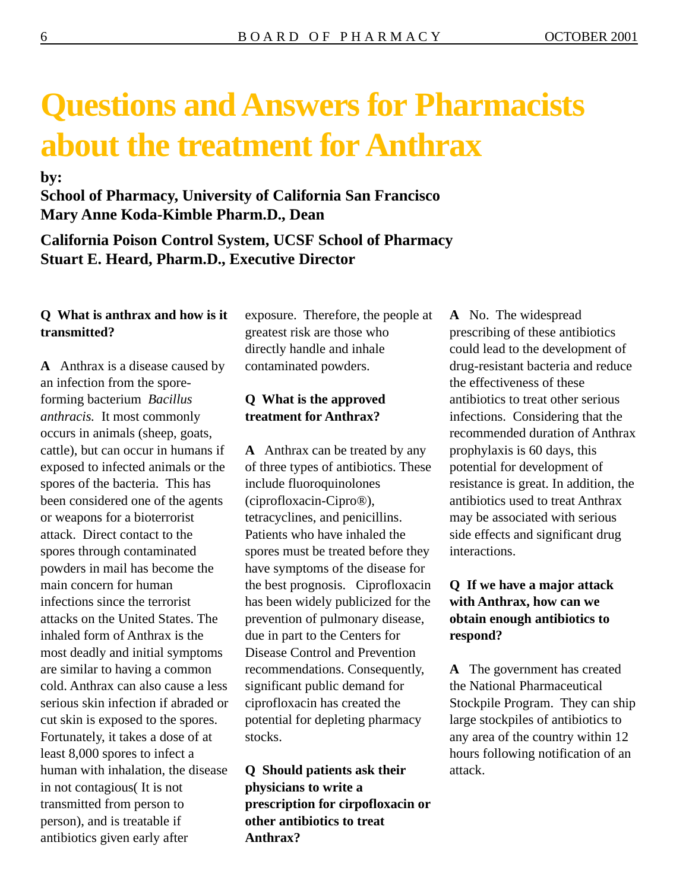# **Questions and Answers for Pharmacists about the treatment for Anthrax**

**by:** 

### **School of Pharmacy, University of California San Francisco Mary Anne Koda-Kimble Pharm.D., Dean**

**California Poison Control System, UCSF School of Pharmacy Stuart E. Heard, Pharm.D., Executive Director** 

#### **Q What is anthrax and how is it transmitted?**

**A** Anthrax is a disease caused by an infection from the sporeforming bacterium *Bacillus anthracis.* It most commonly occurs in animals (sheep, goats, cattle), but can occur in humans if exposed to infected animals or the spores of the bacteria. This has been considered one of the agents or weapons for a bioterrorist attack. Direct contact to the spores through contaminated powders in mail has become the main concern for human infections since the terrorist attacks on the United States. The inhaled form of Anthrax is the most deadly and initial symptoms are similar to having a common cold. Anthrax can also cause a less serious skin infection if abraded or cut skin is exposed to the spores. Fortunately, it takes a dose of at least 8,000 spores to infect a human with inhalation, the disease in not contagious( It is not transmitted from person to person), and is treatable if antibiotics given early after

exposure. Therefore, the people at greatest risk are those who directly handle and inhale contaminated powders.

### **Q What is the approved treatment for Anthrax?**

**A** Anthrax can be treated by any of three types of antibiotics. These include fluoroquinolones (ciprofloxacin-Cipro®), tetracyclines, and penicillins. Patients who have inhaled the spores must be treated before they have symptoms of the disease for the best prognosis. Ciprofloxacin has been widely publicized for the prevention of pulmonary disease, due in part to the Centers for Disease Control and Prevention recommendations. Consequently, significant public demand for ciprofloxacin has created the potential for depleting pharmacy stocks.

**Q Should patients ask their physicians to write a prescription for cirpofloxacin or other antibiotics to treat Anthrax?** 

**A** No. The widespread prescribing of these antibiotics could lead to the development of drug-resistant bacteria and reduce the effectiveness of these antibiotics to treat other serious infections. Considering that the recommended duration of Anthrax prophylaxis is 60 days, this potential for development of resistance is great. In addition, the antibiotics used to treat Anthrax may be associated with serious side effects and significant drug interactions.

### **Q If we have a major attack with Anthrax, how can we obtain enough antibiotics to respond?**

**A** The government has created the National Pharmaceutical Stockpile Program. They can ship large stockpiles of antibiotics to any area of the country within 12 hours following notification of an attack.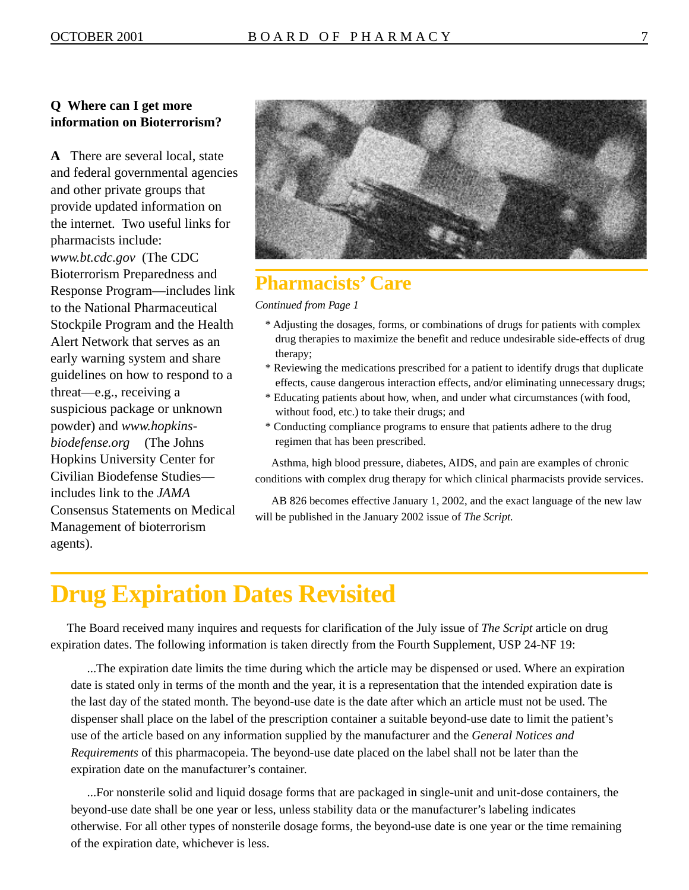#### **Q Where can I get more information on Bioterrorism?**

**A** There are several local, state and federal governmental agencies and other private groups that provide updated information on the internet. Two useful links for pharmacists include: *<www.bt.cdc.gov>* (The CDC Bioterrorism Preparedness and Response Program—includes link to the National Pharmaceutical Stockpile Program and the Health Alert Network that serves as an early warning system and share guidelines on how to respond to a threat—e.g., receiving a suspicious package or unknown powder) and *<www.hopkins>[biodefense.org](https://biodefense.org)* (The Johns Hopkins University Center for Civilian Biodefense Studies includes link to the *JAMA*  Consensus Statements on Medical Management of bioterrorism agents).



### **Pharmacists' Care**

*Continued from Page 1* 

- \* Adjusting the dosages, forms, or combinations of drugs for patients with complex drug therapies to maximize the benefit and reduce undesirable side-effects of drug therapy;
- \* Reviewing the medications prescribed for a patient to identify drugs that duplicate effects, cause dangerous interaction effects, and/or eliminating unnecessary drugs;
- \* Educating patients about how, when, and under what circumstances (with food, without food, etc.) to take their drugs; and
- \* Conducting compliance programs to ensure that patients adhere to the drug regimen that has been prescribed.

Asthma, high blood pressure, diabetes, AIDS, and pain are examples of chronic conditions with complex drug therapy for which clinical pharmacists provide services.

AB 826 becomes effective January 1, 2002, and the exact language of the new law will be published in the January 2002 issue of *The Script.* 

## **Drug Expiration Dates Revisited**

The Board received many inquires and requests for clarification of the July issue of *The Script* article on drug expiration dates. The following information is taken directly from the Fourth Supplement, USP 24-NF 19:

...The expiration date limits the time during which the article may be dispensed or used. Where an expiration date is stated only in terms of the month and the year, it is a representation that the intended expiration date is the last day of the stated month. The beyond-use date is the date after which an article must not be used. The dispenser shall place on the label of the prescription container a suitable beyond-use date to limit the patient's use of the article based on any information supplied by the manufacturer and the *General Notices and Requirements* of this pharmacopeia. The beyond-use date placed on the label shall not be later than the expiration date on the manufacturer's container.

...For nonsterile solid and liquid dosage forms that are packaged in single-unit and unit-dose containers, the beyond-use date shall be one year or less, unless stability data or the manufacturer's labeling indicates otherwise. For all other types of nonsterile dosage forms, the beyond-use date is one year or the time remaining of the expiration date, whichever is less.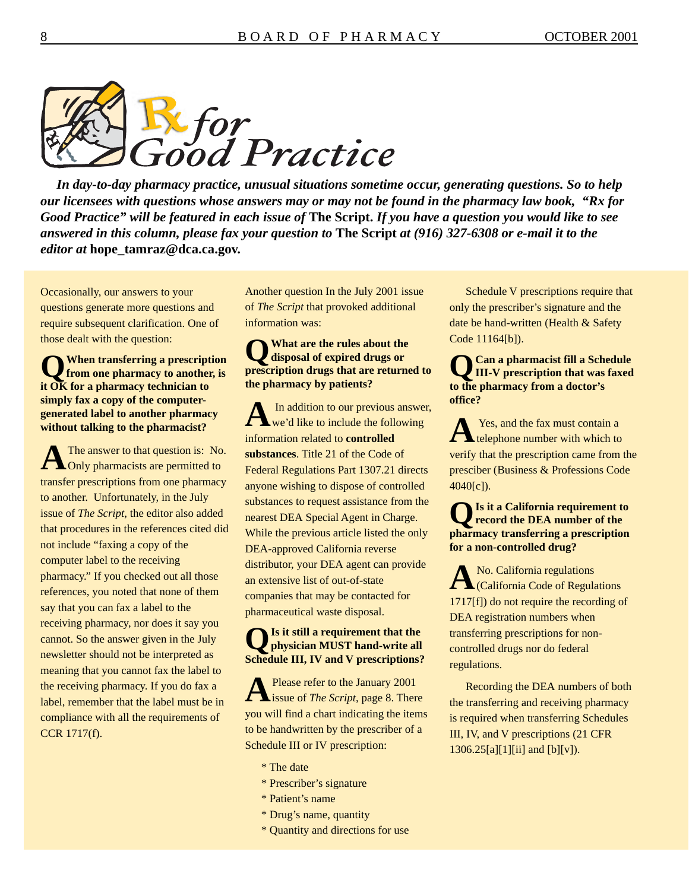

*In day-to-day pharmacy practice, unusual situations sometime occur, generating questions. So to help our licensees with questions whose answers may or may not be found in the pharmacy law book, "Rx for Good Practice" will be featured in each issue of* **The Script.** *If you have a question you would like to see answered in this column, please fax your question to* **The Script** *at (916) 327-6308 or e-mail it to the editor at* **[hope\\_tamraz@dca.ca.gov.](mailto:hope_tamraz@dca.ca.gov)** 

Occasionally, our answers to your questions generate more questions and require subsequent clarification. One of those dealt with the question:

**QWhen transferring a prescription from one pharmacy to another, is it OK for a pharmacy technician to simply fax a copy of the computergenerated label to another pharmacy without talking to the pharmacist?** 

A The answer to that question is: No.<br>
Only pharmacists are permitted to transfer prescriptions from one pharmacy to another. Unfortunately, in the July issue of *The Script*, the editor also added that procedures in the references cited did not include "faxing a copy of the computer label to the receiving pharmacy." If you checked out all those references, you noted that none of them say that you can fax a label to the receiving pharmacy, nor does it say you cannot. So the answer given in the July newsletter should not be interpreted as meaning that you cannot fax the label to the receiving pharmacy. If you do fax a label, remember that the label must be in compliance with all the requirements of CCR 1717(f).

Another question In the July 2001 issue of *The Script* that provoked additional information was:

### **QWhat are the rules about the disposal of expired drugs or prescription drugs that are returned to the pharmacy by patients?**

A In addition to our previous answer,<br>
we'd like to include the following information related to **controlled substances**. Title 21 of the Code of Federal Regulations Part 1307.21 directs anyone wishing to dispose of controlled substances to request assistance from the nearest DEA Special Agent in Charge. While the previous article listed the only DEA-approved California reverse distributor, your DEA agent can provide an extensive list of out-of-state companies that may be contacted for pharmaceutical waste disposal.

#### **QIs it still a requirement that the physician MUST hand-write all Schedule III, IV and V prescriptions?**

**A** Please refer to the January 2001 issue of *The Script*, page 8. There you will find a chart indicating the items to be handwritten by the prescriber of a Schedule III or IV prescription:

- \* The date
- \* Prescriber's signature
- \* Patient's name
- \* Drug's name, quantity
- \* Quantity and directions for use

Schedule V prescriptions require that only the prescriber's signature and the date be hand-written (Health & Safety Code 11164[b]).

**QCan a pharmacist fill a Schedule III-V prescription that was faxed to the pharmacy from a doctor's office?** 

**Parish** Yes, and the fax must contain a telephone number with which to verify that the prescription came from the presciber (Business & Professions Code 4040[c]).

### **QIs it a California requirement to record the DEA number of the pharmacy transferring a prescription for a non-controlled drug?**

A No. California regulations<br>
California Code of Regulations 1717[f]) do not require the recording of DEA registration numbers when transferring prescriptions for noncontrolled drugs nor do federal regulations.

Recording the DEA numbers of both the transferring and receiving pharmacy is required when transferring Schedules III, IV, and V prescriptions (21 CFR  $1306.25[a][1][ii]$  and  $[b][v]$ .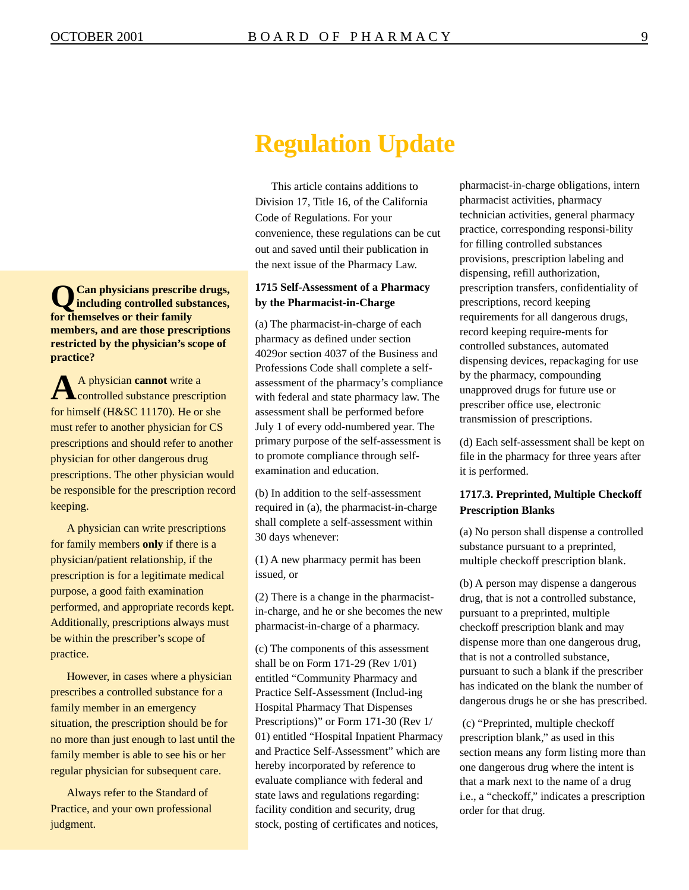## **Regulation Update**

This article contains additions to Division 17, Title 16, of the California Code of Regulations. For your convenience, these regulations can be cut out and saved until their publication in the next issue of the Pharmacy Law.

#### **1715 Self-Assessment of a Pharmacy by the Pharmacist-in-Charge**

(a) The pharmacist-in-charge of each pharmacy as defined under section 4029or section 4037 of the Business and Professions Code shall complete a selfassessment of the pharmacy's compliance with federal and state pharmacy law. The assessment shall be performed before July 1 of every odd-numbered year. The primary purpose of the self-assessment is to promote compliance through selfexamination and education.

(b) In addition to the self-assessment required in (a), the pharmacist-in-charge shall complete a self-assessment within 30 days whenever:

(1) A new pharmacy permit has been issued, or

(2) There is a change in the pharmacistin-charge, and he or she becomes the new pharmacist-in-charge of a pharmacy.

(c) The components of this assessment shall be on Form 171-29 (Rev 1/01) entitled "Community Pharmacy and Practice Self-Assessment (Includ-ing Hospital Pharmacy That Dispenses Prescriptions)" or Form 171-30 (Rev 1/ 01) entitled "Hospital Inpatient Pharmacy and Practice Self-Assessment" which are hereby incorporated by reference to evaluate compliance with federal and state laws and regulations regarding: facility condition and security, drug stock, posting of certificates and notices,

pharmacist-in-charge obligations, intern pharmacist activities, pharmacy technician activities, general pharmacy practice, corresponding responsi-bility for filling controlled substances provisions, prescription labeling and dispensing, refill authorization, prescription transfers, confidentiality of prescriptions, record keeping requirements for all dangerous drugs, record keeping require-ments for controlled substances, automated dispensing devices, repackaging for use by the pharmacy, compounding unapproved drugs for future use or prescriber office use, electronic transmission of prescriptions.

(d) Each self-assessment shall be kept on file in the pharmacy for three years after it is performed.

#### **1717.3. Preprinted, Multiple Checkoff Prescription Blanks**

(a) No person shall dispense a controlled substance pursuant to a preprinted, multiple checkoff prescription blank.

(b) A person may dispense a dangerous drug, that is not a controlled substance, pursuant to a preprinted, multiple checkoff prescription blank and may dispense more than one dangerous drug, that is not a controlled substance, pursuant to such a blank if the prescriber has indicated on the blank the number of dangerous drugs he or she has prescribed.

 (c) "Preprinted, multiple checkoff prescription blank," as used in this section means any form listing more than one dangerous drug where the intent is that a mark next to the name of a drug i.e., a "checkoff," indicates a prescription order for that drug.

**QCan physicians prescribe drugs, including controlled substances, for themselves or their family members, and are those prescriptions restricted by the physician's scope of practice?** 

A physician **cannot** write a controlled substance prescription for himself (H&SC 11170). He or she must refer to another physician for CS prescriptions and should refer to another physician for other dangerous drug prescriptions. The other physician would be responsible for the prescription record keeping.

A physician can write prescriptions for family members **only** if there is a physician/patient relationship, if the prescription is for a legitimate medical purpose, a good faith examination performed, and appropriate records kept. Additionally, prescriptions always must be within the prescriber's scope of practice.

However, in cases where a physician prescribes a controlled substance for a family member in an emergency situation, the prescription should be for no more than just enough to last until the family member is able to see his or her regular physician for subsequent care.

Always refer to the Standard of Practice, and your own professional judgment.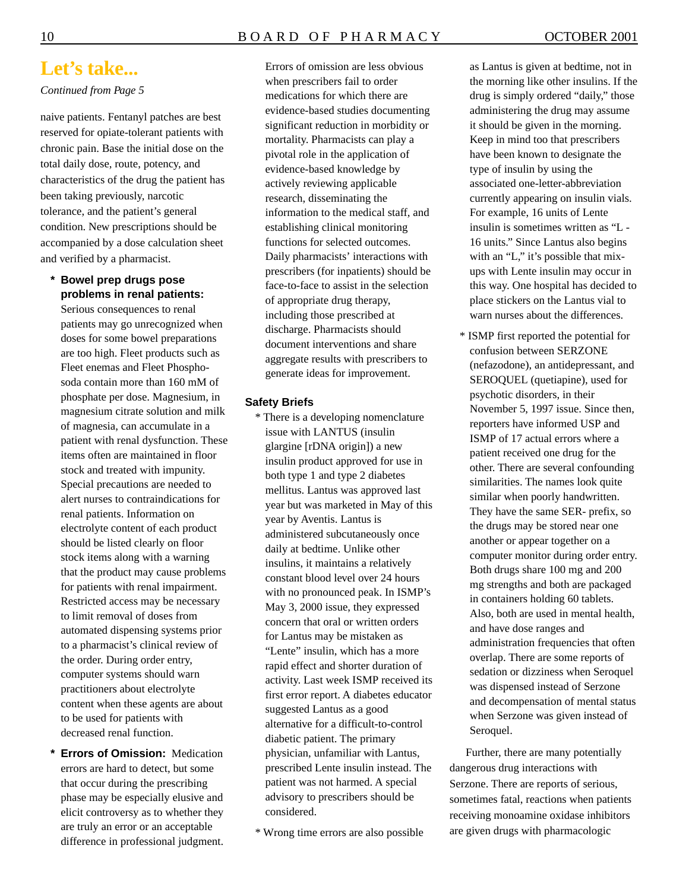### **Let's take...**

#### *Continued from Page 5*

naive patients. Fentanyl patches are best reserved for opiate-tolerant patients with chronic pain. Base the initial dose on the total daily dose, route, potency, and characteristics of the drug the patient has been taking previously, narcotic tolerance, and the patient's general condition. New prescriptions should be accompanied by a dose calculation sheet and verified by a pharmacist.

**\* Bowel prep drugs pose problems in renal patients:** 

Serious consequences to renal patients may go unrecognized when doses for some bowel preparations are too high. Fleet products such as Fleet enemas and Fleet Phosphosoda contain more than 160 mM of phosphate per dose. Magnesium, in magnesium citrate solution and milk of magnesia, can accumulate in a patient with renal dysfunction. These items often are maintained in floor stock and treated with impunity. Special precautions are needed to alert nurses to contraindications for renal patients. Information on electrolyte content of each product should be listed clearly on floor stock items along with a warning that the product may cause problems for patients with renal impairment. Restricted access may be necessary to limit removal of doses from automated dispensing systems prior to a pharmacist's clinical review of the order. During order entry, computer systems should warn practitioners about electrolyte content when these agents are about to be used for patients with decreased renal function.

**\* Errors of Omission:** Medication errors are hard to detect, but some that occur during the prescribing phase may be especially elusive and elicit controversy as to whether they are truly an error or an acceptable difference in professional judgment.

Errors of omission are less obvious when prescribers fail to order medications for which there are evidence-based studies documenting significant reduction in morbidity or mortality. Pharmacists can play a pivotal role in the application of evidence-based knowledge by actively reviewing applicable research, disseminating the information to the medical staff, and establishing clinical monitoring functions for selected outcomes. Daily pharmacists' interactions with prescribers (for inpatients) should be face-to-face to assist in the selection of appropriate drug therapy, including those prescribed at discharge. Pharmacists should document interventions and share aggregate results with prescribers to generate ideas for improvement.

#### **Safety Briefs**

- \* There is a developing nomenclature issue with LANTUS (insulin glargine [rDNA origin]) a new insulin product approved for use in both type 1 and type 2 diabetes mellitus. Lantus was approved last year but was marketed in May of this year by Aventis. Lantus is administered subcutaneously once daily at bedtime. Unlike other insulins, it maintains a relatively constant blood level over 24 hours with no pronounced peak. In ISMP's May 3, 2000 issue, they expressed concern that oral or written orders for Lantus may be mistaken as "Lente" insulin, which has a more rapid effect and shorter duration of activity. Last week ISMP received its first error report. A diabetes educator suggested Lantus as a good alternative for a difficult-to-control diabetic patient. The primary physician, unfamiliar with Lantus, prescribed Lente insulin instead. The patient was not harmed. A special advisory to prescribers should be considered.
- \* Wrong time errors are also possible

as Lantus is given at bedtime, not in the morning like other insulins. If the drug is simply ordered "daily," those administering the drug may assume it should be given in the morning. Keep in mind too that prescribers have been known to designate the type of insulin by using the associated one-letter-abbreviation currently appearing on insulin vials. For example, 16 units of Lente insulin is sometimes written as "L - 16 units." Since Lantus also begins with an "L," it's possible that mixups with Lente insulin may occur in this way. One hospital has decided to place stickers on the Lantus vial to warn nurses about the differences.

\* ISMP first reported the potential for confusion between SERZONE (nefazodone), an antidepressant, and SEROQUEL (quetiapine), used for psychotic disorders, in their November 5, 1997 issue. Since then, reporters have informed USP and ISMP of 17 actual errors where a patient received one drug for the other. There are several confounding similarities. The names look quite similar when poorly handwritten. They have the same SER- prefix, so the drugs may be stored near one another or appear together on a computer monitor during order entry. Both drugs share 100 mg and 200 mg strengths and both are packaged in containers holding 60 tablets. Also, both are used in mental health, and have dose ranges and administration frequencies that often overlap. There are some reports of sedation or dizziness when Seroquel was dispensed instead of Serzone and decompensation of mental status when Serzone was given instead of Seroquel.

Further, there are many potentially dangerous drug interactions with Serzone. There are reports of serious, sometimes fatal, reactions when patients receiving monoamine oxidase inhibitors are given drugs with pharmacologic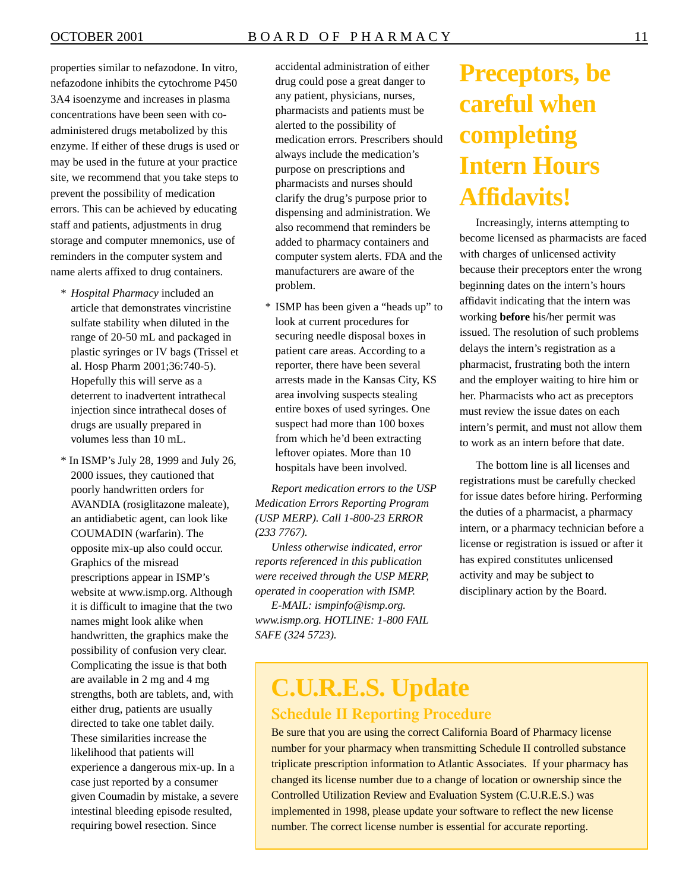properties similar to nefazodone. In vitro, nefazodone inhibits the cytochrome P450 3A4 isoenzyme and increases in plasma concentrations have been seen with coadministered drugs metabolized by this enzyme. If either of these drugs is used or may be used in the future at your practice site, we recommend that you take steps to prevent the possibility of medication errors. This can be achieved by educating staff and patients, adjustments in drug storage and computer mnemonics, use of reminders in the computer system and name alerts affixed to drug containers.

- \* *Hospital Pharmacy* included an article that demonstrates vincristine sulfate stability when diluted in the range of 20-50 mL and packaged in plastic syringes or IV bags (Trissel et al. Hosp Pharm 2001;36:740-5). Hopefully this will serve as a deterrent to inadvertent intrathecal injection since intrathecal doses of drugs are usually prepared in volumes less than 10 mL.
- \* In ISMP's July 28, 1999 and July 26, 2000 issues, they cautioned that poorly handwritten orders for AVANDIA (rosiglitazone maleate), an antidiabetic agent, can look like COUMADIN (warfarin). The opposite mix-up also could occur. Graphics of the misread prescriptions appear in ISMP's website at <www.ismp.org>. Although it is difficult to imagine that the two names might look alike when handwritten, the graphics make the possibility of confusion very clear. Complicating the issue is that both are available in 2 mg and 4 mg strengths, both are tablets, and, with either drug, patients are usually directed to take one tablet daily. These similarities increase the likelihood that patients will experience a dangerous mix-up. In a case just reported by a consumer given Coumadin by mistake, a severe intestinal bleeding episode resulted, requiring bowel resection. Since

accidental administration of either drug could pose a great danger to any patient, physicians, nurses, pharmacists and patients must be alerted to the possibility of medication errors. Prescribers should always include the medication's purpose on prescriptions and pharmacists and nurses should clarify the drug's purpose prior to dispensing and administration. We also recommend that reminders be added to pharmacy containers and computer system alerts. FDA and the manufacturers are aware of the problem.

\* ISMP has been given a "heads up" to look at current procedures for securing needle disposal boxes in patient care areas. According to a reporter, there have been several arrests made in the Kansas City, KS area involving suspects stealing entire boxes of used syringes. One suspect had more than 100 boxes from which he'd been extracting leftover opiates. More than 10 hospitals have been involved.

*Report medication errors to the USP Medication Errors Reporting Program (USP MERP). Call 1-800-23 ERROR (233 7767).* 

*Unless otherwise indicated, error reports referenced in this publication were received through the USP MERP, operated in cooperation with ISMP.* 

*E-MAIL: [ismpinfo@ismp.org](mailto:ismpinfo@ismp.org). [www.ismp.org.](www.ismp.org) HOTLINE: 1-800 FAIL SAFE (324 5723).* 

## **Preceptors, be careful when completing Intern Hours Affidavits!**

Increasingly, interns attempting to become licensed as pharmacists are faced with charges of unlicensed activity because their preceptors enter the wrong beginning dates on the intern's hours affidavit indicating that the intern was working **before** his/her permit was issued. The resolution of such problems delays the intern's registration as a pharmacist, frustrating both the intern and the employer waiting to hire him or her. Pharmacists who act as preceptors must review the issue dates on each intern's permit, and must not allow them to work as an intern before that date.

The bottom line is all licenses and registrations must be carefully checked for issue dates before hiring. Performing the duties of a pharmacist, a pharmacy intern, or a pharmacy technician before a license or registration is issued or after it has expired constitutes unlicensed activity and may be subject to disciplinary action by the Board.

# **C.U.R.E.S. Update**

#### **Schedule II Reporting Procedure**

Be sure that you are using the correct California Board of Pharmacy license number for your pharmacy when transmitting Schedule II controlled substance triplicate prescription information to Atlantic Associates. If your pharmacy has changed its license number due to a change of location or ownership since the Controlled Utilization Review and Evaluation System (C.U.R.E.S.) was implemented in 1998, please update your software to reflect the new license number. The correct license number is essential for accurate reporting.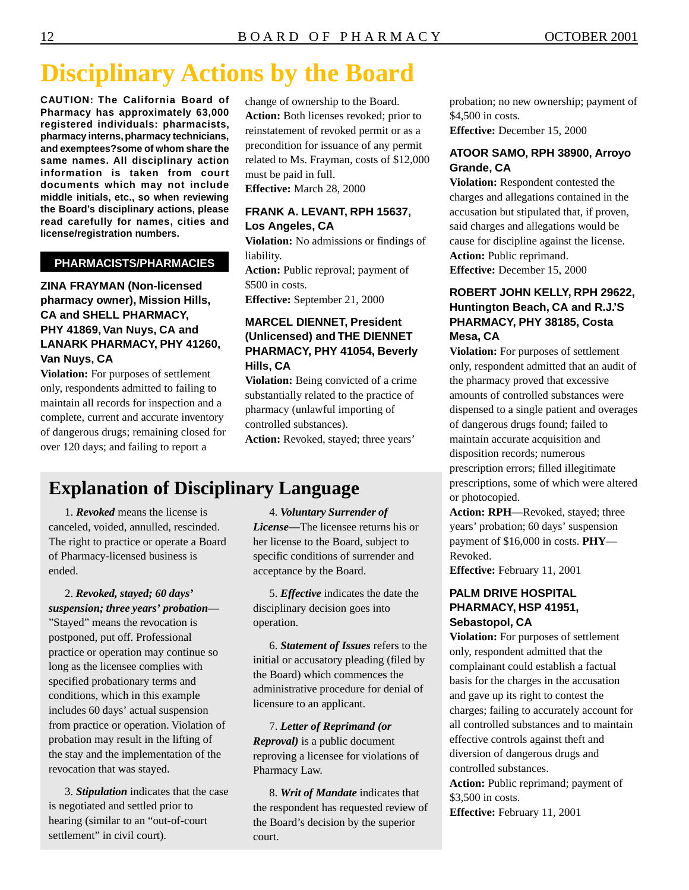## **Disciplinary Actions by the Board**

**CAUTION: The California Board of Pharmacy has approximately 63,000 registered individuals: pharmacists, pharmacy interns, pharmacy technicians, and exemptees?some of whom share the same names. All disciplinary action information is taken from court documents which may not include middle initials, etc., so when reviewing the Board's disciplinary actions, please read carefully for names, cities and license/registration numbers.** 

#### **PHARMACISTS/PHARMACIES**

#### **ZINA FRAYMAN (Non-licensed pharmacy owner), Mission Hills, CA and SHELL PHARMACY, PHY 41869, Van Nuys, CA and LANARK PHARMACY, PHY 41260, Van Nuys, CA**

**Violation:** For purposes of settlement only, respondents admitted to failing to maintain all records for inspection and a complete, current and accurate inventory of dangerous drugs; remaining closed for over 120 days; and failing to report a

change of ownership to the Board. **Action:** Both licenses revoked; prior to reinstatement of revoked permit or as a precondition for issuance of any permit related to Ms. Frayman, costs of \$12,000 must be paid in full.

**Effective:** March 28, 2000

#### **FRANK A. LEVANT, RPH 15637, Los Angeles, CA**

**Violation:** No admissions or findings of liability.

Action: Public reproval; payment of \$500 in costs.

**Effective:** September 21, 2000

#### **MARCEL DIENNET, President (Unlicensed) and THE DIENNET PHARMACY, PHY 41054, Beverly Hills, CA**

**Violation:** Being convicted of a crime substantially related to the practice of pharmacy (unlawful importing of controlled substances). **Action:** Revoked, stayed; three years'

## **Explanation of Disciplinary Language**

1. *Revoked* means the license is canceled, voided, annulled, rescinded. The right to practice or operate a Board of Pharmacy-licensed business is ended.

2. *Revoked, stayed; 60 days' suspension; three years' probation—*  "Stayed" means the revocation is postponed, put off. Professional practice or operation may continue so long as the licensee complies with specified probationary terms and conditions, which in this example includes 60 days' actual suspension from practice or operation. Violation of probation may result in the lifting of the stay and the implementation of the revocation that was stayed.

3. *Stipulation* indicates that the case is negotiated and settled prior to hearing (similar to an "out-of-court settlement" in civil court).

4. *Voluntary Surrender of License—*The licensee returns his or her license to the Board, subject to specific conditions of surrender and acceptance by the Board.

5. *Effective* indicates the date the disciplinary decision goes into operation.

6. *Statement of Issues* refers to the initial or accusatory pleading (filed by the Board) which commences the administrative procedure for denial of licensure to an applicant.

7. *Letter of Reprimand (or Reproval)* is a public document reproving a licensee for violations of Pharmacy Law.

8. *Writ of Mandate* indicates that the respondent has requested review of the Board's decision by the superior court.

probation; no new ownership; payment of \$4,500 in costs. **Effective:** December 15, 2000

#### **ATOOR SAMO, RPH 38900, Arroyo Grande, CA**

**Violation:** Respondent contested the charges and allegations contained in the accusation but stipulated that, if proven, said charges and allegations would be cause for discipline against the license. **Action:** Public reprimand. **Effective:** December 15, 2000

#### **ROBERT JOHN KELLY, RPH 29622, Huntington Beach, CA and R.J.'S PHARMACY, PHY 38185, Costa Mesa, CA**

**Violation:** For purposes of settlement only, respondent admitted that an audit of the pharmacy proved that excessive amounts of controlled substances were dispensed to a single patient and overages of dangerous drugs found; failed to maintain accurate acquisition and disposition records; numerous prescription errors; filled illegitimate prescriptions, some of which were altered or photocopied.

**Action: RPH—**Revoked, stayed; three years' probation; 60 days' suspension payment of \$16,000 in costs. **PHY—**  Revoked.

**Effective:** February 11, 2001

#### **PALM DRIVE HOSPITAL PHARMACY, HSP 41951, Sebastopol, CA**

**Violation:** For purposes of settlement only, respondent admitted that the complainant could establish a factual basis for the charges in the accusation and gave up its right to contest the charges; failing to accurately account for all controlled substances and to maintain effective controls against theft and diversion of dangerous drugs and controlled substances.

**Action:** Public reprimand; payment of \$3,500 in costs.

**Effective:** February 11, 2001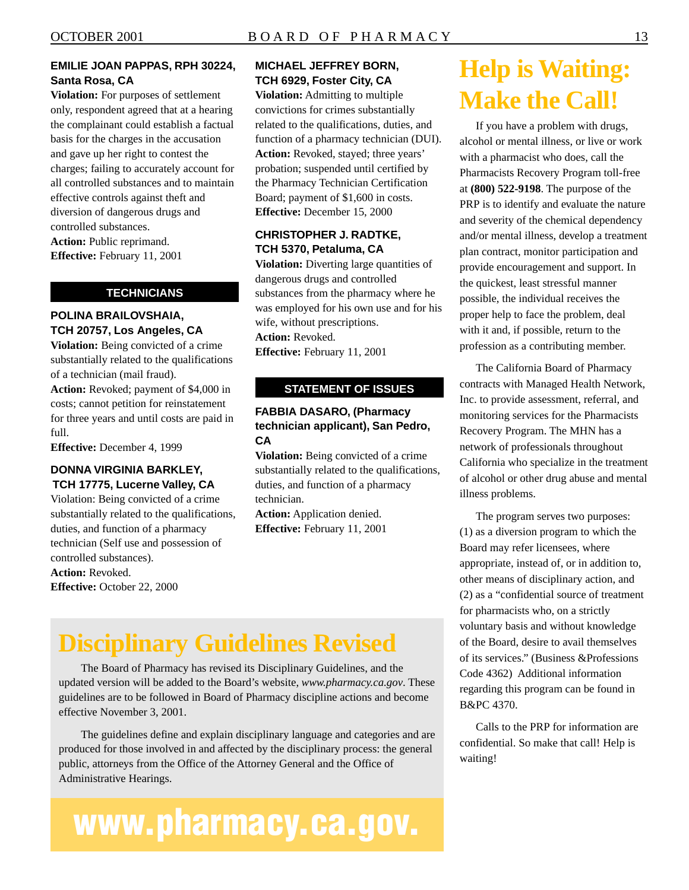#### **EMILIE JOAN PAPPAS, RPH 30224, Santa Rosa, CA**

diversion of dangerous drugs and **Violation:** For purposes of settlement only, respondent agreed that at a hearing the complainant could establish a factual basis for the charges in the accusation and gave up her right to contest the charges; failing to accurately account for all controlled substances and to maintain effective controls against theft and controlled substances. **Action:** Public reprimand. **Effective:** February 11, 2001

#### **TECHNICIANS**

#### **POLINA BRAILOVSHAIA, TCH 20757, Los Angeles, CA**

**Violation:** Being convicted of a crime substantially related to the qualifications of a technician (mail fraud).

**Action:** Revoked; payment of \$4,000 in costs; cannot petition for reinstatement for three years and until costs are paid in full.

**Effective:** December 4, 1999

#### **DONNA VIRGINIA BARKLEY, TCH 17775, Lucerne Valley, CA**

Violation: Being convicted of a crime substantially related to the qualifications, duties, and function of a pharmacy technician (Self use and possession of controlled substances). **Action:** Revoked.

**Effective:** October 22, 2000

#### **MICHAEL JEFFREY BORN, TCH 6929, Foster City, CA**

**Violation:** Admitting to multiple convictions for crimes substantially related to the qualifications, duties, and function of a pharmacy technician (DUI). **Action:** Revoked, stayed; three years' probation; suspended until certified by the Pharmacy Technician Certification Board; payment of \$1,600 in costs. **Effective:** December 15, 2000

#### **CHRISTOPHER J. RADTKE, TCH 5370, Petaluma, CA**

**Violation:** Diverting large quantities of dangerous drugs and controlled substances from the pharmacy where he was employed for his own use and for his wife, without prescriptions. **Action:** Revoked. **Effective:** February 11, 2001

#### **STATEMENT OF ISSUES**

#### **FABBIA DASARO, (Pharmacy technician applicant), San Pedro, CA**

**Violation:** Being convicted of a crime substantially related to the qualifications, duties, and function of a pharmacy technician.

**Action:** Application denied. **Effective:** February 11, 2001

## **Help is Waiting: Make the Call!**

If you have a problem with drugs, alcohol or mental illness, or live or work with a pharmacist who does, call the Pharmacists Recovery Program toll-free at **(800) 522-9198**. The purpose of the PRP is to identify and evaluate the nature and severity of the chemical dependency and/or mental illness, develop a treatment plan contract, monitor participation and provide encouragement and support. In the quickest, least stressful manner possible, the individual receives the proper help to face the problem, deal with it and, if possible, return to the profession as a contributing member.

The California Board of Pharmacy contracts with Managed Health Network, Inc. to provide assessment, referral, and monitoring services for the Pharmacists Recovery Program. The MHN has a network of professionals throughout California who specialize in the treatment of alcohol or other drug abuse and mental illness problems.

The program serves two purposes: (1) as a diversion program to which the Board may refer licensees, where appropriate, instead of, or in addition to, other means of disciplinary action, and (2) as a "confidential source of treatment for pharmacists who, on a strictly voluntary basis and without knowledge of the Board, desire to avail themselves of its services." (Business &Professions Code 4362) Additional information regarding this program can be found in B&PC 4370.

Calls to the PRP for information are confidential. So make that call! Help is waiting!

## **Disciplinary Guidelines Revised**

The Board of Pharmacy has revised its Disciplinary Guidelines, and the updated version will be added to the Board's website, *<www.pharmacy.ca.gov>*. These guidelines are to be followed in Board of Pharmacy discipline actions and become effective November 3, 2001.

The guidelines define and explain disciplinary language and categories and are produced for those involved in and affected by the disciplinary process: the general public, attorneys from the Office of the Attorney General and the Office of Administrative Hearings.

# **www.pharmacy.ca.gov.**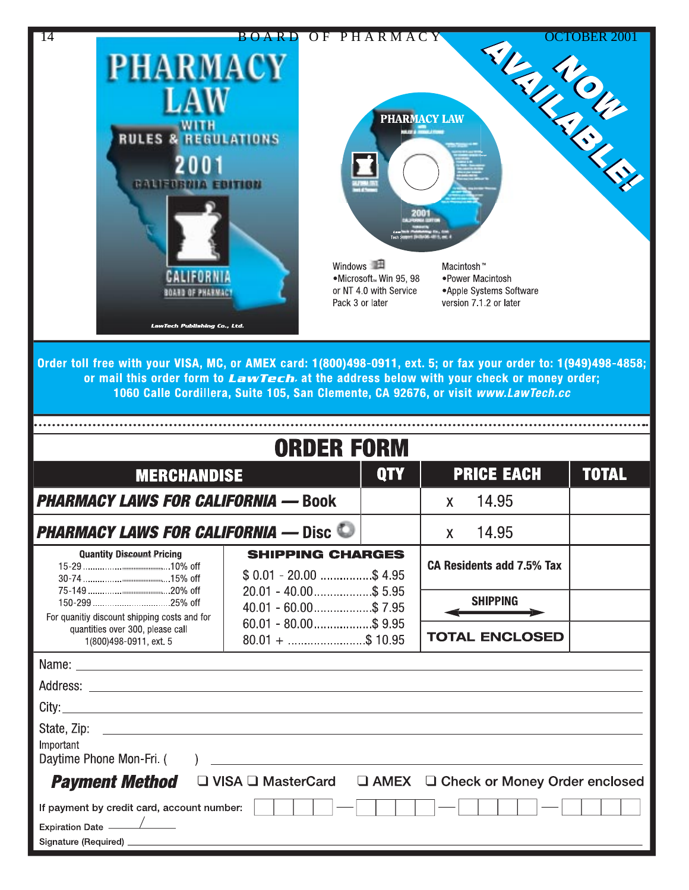

| <b>ORDER FORM</b>                                                                                      |                    |                                                           |                 |                                                                         |  |
|--------------------------------------------------------------------------------------------------------|--------------------|-----------------------------------------------------------|-----------------|-------------------------------------------------------------------------|--|
|                                                                                                        | <b>QTY</b>         |                                                           |                 | <b>TOTAL</b>                                                            |  |
| <b>PHARMACY LAWS FOR CALIFORNIA — Book</b>                                                             |                    | <b>X</b>                                                  | 14.95           |                                                                         |  |
| <b>PHARMACY LAWS FOR CALIFORNIA — Disc ©</b>                                                           |                    | $\mathsf{X}$                                              | 14.95           |                                                                         |  |
| <b>SHIPPING CHARGES</b><br>$$0.01 - 20.00$ \$4.95<br>$20.01 - 40.00$ \$ 5.95<br>$40.01 - 60.00$ \$7.95 |                    |                                                           |                 |                                                                         |  |
|                                                                                                        |                    |                                                           | <b>SHIPPING</b> |                                                                         |  |
|                                                                                                        |                    |                                                           |                 |                                                                         |  |
|                                                                                                        |                    |                                                           |                 |                                                                         |  |
|                                                                                                        |                    |                                                           |                 |                                                                         |  |
|                                                                                                        |                    |                                                           |                 |                                                                         |  |
| Important<br>Daytime Phone Mon-Fri. (                                                                  |                    |                                                           |                 |                                                                         |  |
| $\Box$ VISA $\Box$ MasterCard<br>□ AMEX □ Check or Money Order enclosed<br><b>Payment Method</b>       |                    |                                                           |                 |                                                                         |  |
| If payment by credit card, account number:                                                             |                    |                                                           |                 |                                                                         |  |
|                                                                                                        | <b>MERCHANDISE</b> | $60.01 - 80.00$ \$9.95<br>$80.01 + \dots + \dots + 10.95$ |                 | <b>PRICE EACH</b><br>CA Residents add 7.5% Tax<br><b>TOTAL ENCLOSED</b> |  |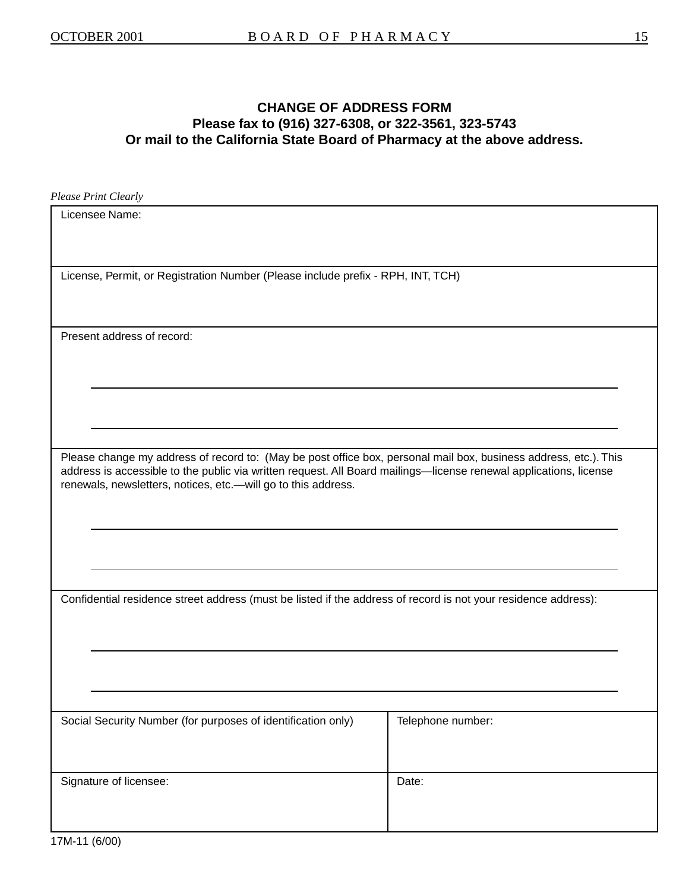### **CHANGE OF ADDRESS FORM Please fax to (916) 327-6308, or 322-3561, 323-5743 Or mail to the California State Board of Pharmacy at the above address.**

*Please Print Clearly* 

| Licensee Name:                                                                                                                                                                                                                                                                                          |                   |
|---------------------------------------------------------------------------------------------------------------------------------------------------------------------------------------------------------------------------------------------------------------------------------------------------------|-------------------|
| License, Permit, or Registration Number (Please include prefix - RPH, INT, TCH)                                                                                                                                                                                                                         |                   |
| Present address of record:                                                                                                                                                                                                                                                                              |                   |
| Please change my address of record to: (May be post office box, personal mail box, business address, etc.). This<br>address is accessible to the public via written request. All Board mailings-license renewal applications, license<br>renewals, newsletters, notices, etc.- will go to this address. |                   |
| Confidential residence street address (must be listed if the address of record is not your residence address):                                                                                                                                                                                          |                   |
| Social Security Number (for purposes of identification only)                                                                                                                                                                                                                                            | Telephone number: |
| Signature of licensee:                                                                                                                                                                                                                                                                                  | Date:             |